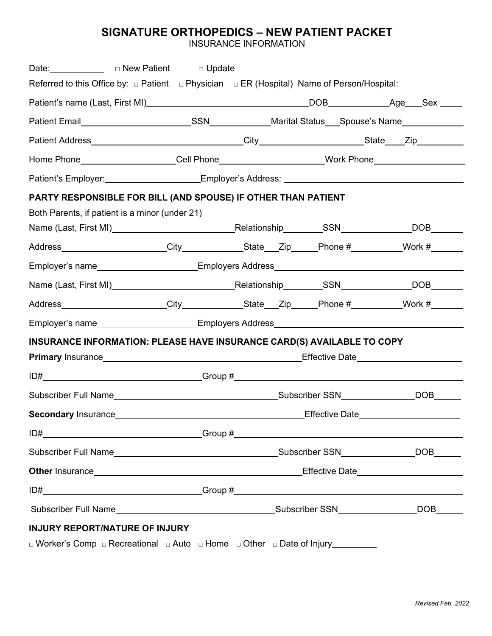### **SIGNATURE ORTHOPEDICS – NEW PATIENT PACKET**

INSURANCE INFORMATION

| Date: <b>Date: Date: Date: Date: Date: Date: Date: Date: Date: Date: Date: Date: Date: Date: Date: Date: Date: Date: Date: Date: Date: Date: Date: Date:</b>                                                                         |  |  |  |
|--------------------------------------------------------------------------------------------------------------------------------------------------------------------------------------------------------------------------------------|--|--|--|
| Referred to this Office by: $\Box$ Patient $\Box$ Physician $\Box$ ER (Hospital) Name of Person/Hospital:                                                                                                                            |  |  |  |
|                                                                                                                                                                                                                                      |  |  |  |
|                                                                                                                                                                                                                                      |  |  |  |
|                                                                                                                                                                                                                                      |  |  |  |
|                                                                                                                                                                                                                                      |  |  |  |
| Patient's Employer: _____________________Employer's Address: ____________________                                                                                                                                                    |  |  |  |
| PARTY RESPONSIBLE FOR BILL (AND SPOUSE) IF OTHER THAN PATIENT                                                                                                                                                                        |  |  |  |
| Both Parents, if patient is a minor (under 21)                                                                                                                                                                                       |  |  |  |
|                                                                                                                                                                                                                                      |  |  |  |
| Address______________________City_____________State___Zip_____Phone #_________Work #______                                                                                                                                           |  |  |  |
| Employer's name <b>Employer's</b> name Solution Contract Contract Contract Contract Contract Contract Contract Contract Contract Contract Contract Contract Contract Contract Contract Contract Contract Contract Contract Contract  |  |  |  |
|                                                                                                                                                                                                                                      |  |  |  |
| Address______________________City_____________State___Zip_____Phone #_________Work #______                                                                                                                                           |  |  |  |
| Employer's name__________________________Employers Address______________________                                                                                                                                                     |  |  |  |
| INSURANCE INFORMATION: PLEASE HAVE INSURANCE CARD(S) AVAILABLE TO COPY                                                                                                                                                               |  |  |  |
|                                                                                                                                                                                                                                      |  |  |  |
|                                                                                                                                                                                                                                      |  |  |  |
|                                                                                                                                                                                                                                      |  |  |  |
| Secondary Insurance example and the example of Effective Date Effective Date                                                                                                                                                         |  |  |  |
|                                                                                                                                                                                                                                      |  |  |  |
|                                                                                                                                                                                                                                      |  |  |  |
| Other Insurance <b>Contract Contract Contract Contract Contract Contract Contract Contract Contract Contract Contract Contract Contract Contract Contract Contract Contract Contract Contract Contract Contract Contract Contrac</b> |  |  |  |
|                                                                                                                                                                                                                                      |  |  |  |
|                                                                                                                                                                                                                                      |  |  |  |
| <b>INJURY REPORT/NATURE OF INJURY</b>                                                                                                                                                                                                |  |  |  |
| □ Worker's Comp □ Recreational □ Auto □ Home □ Other □ Date of Injury_________                                                                                                                                                       |  |  |  |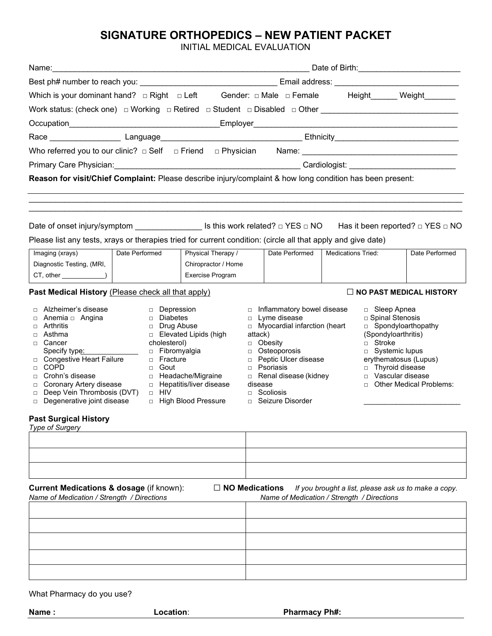# **SIGNATURE ORTHOPEDICS – NEW PATIENT PACKET**

INITIAL MEDICAL EVALUATION

|                                                                                                                                                                                                                                                                                                                      | Date of Birth: <u>Cambridge Communist Communist Communist Communist Communist Communist Communist Communist Communist Communist Communist Communist Communist Communist Communist Communist Communist Communist Communist Commun</u> |                                                                                                                             |                              |                                                                                                                                                                                                                                               |                           |                                                                                                                                                                                                      |                                                      |
|----------------------------------------------------------------------------------------------------------------------------------------------------------------------------------------------------------------------------------------------------------------------------------------------------------------------|--------------------------------------------------------------------------------------------------------------------------------------------------------------------------------------------------------------------------------------|-----------------------------------------------------------------------------------------------------------------------------|------------------------------|-----------------------------------------------------------------------------------------------------------------------------------------------------------------------------------------------------------------------------------------------|---------------------------|------------------------------------------------------------------------------------------------------------------------------------------------------------------------------------------------------|------------------------------------------------------|
|                                                                                                                                                                                                                                                                                                                      |                                                                                                                                                                                                                                      |                                                                                                                             |                              |                                                                                                                                                                                                                                               |                           |                                                                                                                                                                                                      |                                                      |
| Which is your dominant hand? $\Box$ Right $\Box$ Left                                                                                                                                                                                                                                                                |                                                                                                                                                                                                                                      |                                                                                                                             |                              |                                                                                                                                                                                                                                               |                           |                                                                                                                                                                                                      |                                                      |
|                                                                                                                                                                                                                                                                                                                      |                                                                                                                                                                                                                                      |                                                                                                                             |                              |                                                                                                                                                                                                                                               |                           |                                                                                                                                                                                                      |                                                      |
|                                                                                                                                                                                                                                                                                                                      |                                                                                                                                                                                                                                      |                                                                                                                             |                              |                                                                                                                                                                                                                                               |                           |                                                                                                                                                                                                      |                                                      |
|                                                                                                                                                                                                                                                                                                                      |                                                                                                                                                                                                                                      |                                                                                                                             |                              |                                                                                                                                                                                                                                               |                           |                                                                                                                                                                                                      |                                                      |
| Who referred you to our clinic? $\Box$ Self $\Box$ Friend $\Box$ Physician                                                                                                                                                                                                                                           |                                                                                                                                                                                                                                      |                                                                                                                             |                              |                                                                                                                                                                                                                                               |                           |                                                                                                                                                                                                      |                                                      |
|                                                                                                                                                                                                                                                                                                                      |                                                                                                                                                                                                                                      |                                                                                                                             |                              |                                                                                                                                                                                                                                               |                           |                                                                                                                                                                                                      |                                                      |
| Reason for visit/Chief Complaint: Please describe injury/complaint & how long condition has been present:                                                                                                                                                                                                            |                                                                                                                                                                                                                                      |                                                                                                                             |                              |                                                                                                                                                                                                                                               |                           |                                                                                                                                                                                                      |                                                      |
|                                                                                                                                                                                                                                                                                                                      |                                                                                                                                                                                                                                      |                                                                                                                             |                              |                                                                                                                                                                                                                                               |                           |                                                                                                                                                                                                      |                                                      |
| Date of onset injury/symptom ___________________ Is this work related? $\Box$ YES $\Box$ NO $\Box$ Has it been reported? $\Box$ YES $\Box$ NO                                                                                                                                                                        |                                                                                                                                                                                                                                      |                                                                                                                             |                              |                                                                                                                                                                                                                                               |                           |                                                                                                                                                                                                      |                                                      |
| Please list any tests, xrays or therapies tried for current condition: (circle all that apply and give date)                                                                                                                                                                                                         | Date Performed                                                                                                                                                                                                                       |                                                                                                                             |                              | Date Performed                                                                                                                                                                                                                                | <b>Medications Tried:</b> |                                                                                                                                                                                                      | Date Performed                                       |
| Imaging (xrays)<br>Diagnostic Testing, (MRI,                                                                                                                                                                                                                                                                         |                                                                                                                                                                                                                                      | Physical Therapy /<br>Chiropractor / Home                                                                                   |                              |                                                                                                                                                                                                                                               |                           |                                                                                                                                                                                                      |                                                      |
| $CT, other$ $\qquad$                                                                                                                                                                                                                                                                                                 |                                                                                                                                                                                                                                      | Exercise Program                                                                                                            |                              |                                                                                                                                                                                                                                               |                           |                                                                                                                                                                                                      |                                                      |
| Past Medical History (Please check all that apply)                                                                                                                                                                                                                                                                   |                                                                                                                                                                                                                                      |                                                                                                                             |                              |                                                                                                                                                                                                                                               |                           |                                                                                                                                                                                                      | $\Box$ NO PAST MEDICAL HISTORY                       |
| Alzheimer's disease<br>□ Anemia □ Angina<br>Arthritis<br>$\Box$<br>Asthma<br>$\Box$<br>□ Cancer<br>Specify type: Specify type:<br>□ Congestive Heart Failure<br>□ COPD<br>Crohn's disease<br>П.<br>Coronary Artery disease<br>$\Box$<br>Deep Vein Thrombosis (DVT)<br>$\Box$<br>Degenerative joint disease<br>$\Box$ | □ Depression<br>$\Box$ Diabetes<br>□ Drug Abuse<br>cholesterol)<br>□ Fracture<br>$\Box$ Gout<br>$\Box$ HIV                                                                                                                           | □ Elevated Lipids (high<br>$\Box$ Fibromyalgia<br>□ Headache/Migraine<br>□ Hepatitis/liver disease<br>□ High Blood Pressure | attack)<br>$\Box$<br>disease | □ Inflammatory bowel disease<br>$\Box$ Lyme disease<br>□ Myocardial infarction (heart<br>□ Obesity<br>$\Box$ Osteoporosis<br>Peptic Ulcer disease<br>$\Box$ Psoriasis<br>Renal disease (kidney<br>$\Box$ Scoliosis<br>$\Box$ Seizure Disorder |                           | □ Sleep Apnea<br>□ Spinal Stenosis<br>□ Spondyloarthopathy<br>(Spondyloarthritis)<br>$\Box$ Stroke<br>□ Systemic lupus<br>erythematosus (Lupus)<br>□ Thyroid disease<br>D Vascular disease<br>$\Box$ | <b>Other Medical Problems:</b>                       |
| <b>Past Surgical History</b><br>Type of Surgery                                                                                                                                                                                                                                                                      |                                                                                                                                                                                                                                      |                                                                                                                             |                              |                                                                                                                                                                                                                                               |                           |                                                                                                                                                                                                      |                                                      |
|                                                                                                                                                                                                                                                                                                                      |                                                                                                                                                                                                                                      |                                                                                                                             |                              |                                                                                                                                                                                                                                               |                           |                                                                                                                                                                                                      |                                                      |
| Current Medications & dosage (if known):<br>Name of Medication / Strength / Directions                                                                                                                                                                                                                               |                                                                                                                                                                                                                                      | $\Box$ NO Medications                                                                                                       |                              | Name of Medication / Strength / Directions                                                                                                                                                                                                    |                           |                                                                                                                                                                                                      | If you brought a list, please ask us to make a copy. |
|                                                                                                                                                                                                                                                                                                                      |                                                                                                                                                                                                                                      |                                                                                                                             |                              |                                                                                                                                                                                                                                               |                           |                                                                                                                                                                                                      |                                                      |
|                                                                                                                                                                                                                                                                                                                      |                                                                                                                                                                                                                                      |                                                                                                                             |                              |                                                                                                                                                                                                                                               |                           |                                                                                                                                                                                                      |                                                      |
|                                                                                                                                                                                                                                                                                                                      |                                                                                                                                                                                                                                      |                                                                                                                             |                              |                                                                                                                                                                                                                                               |                           |                                                                                                                                                                                                      |                                                      |
|                                                                                                                                                                                                                                                                                                                      |                                                                                                                                                                                                                                      |                                                                                                                             |                              |                                                                                                                                                                                                                                               |                           |                                                                                                                                                                                                      |                                                      |
|                                                                                                                                                                                                                                                                                                                      |                                                                                                                                                                                                                                      |                                                                                                                             |                              |                                                                                                                                                                                                                                               |                           |                                                                                                                                                                                                      |                                                      |
|                                                                                                                                                                                                                                                                                                                      |                                                                                                                                                                                                                                      |                                                                                                                             |                              |                                                                                                                                                                                                                                               |                           |                                                                                                                                                                                                      |                                                      |

What Pharmacy do you use?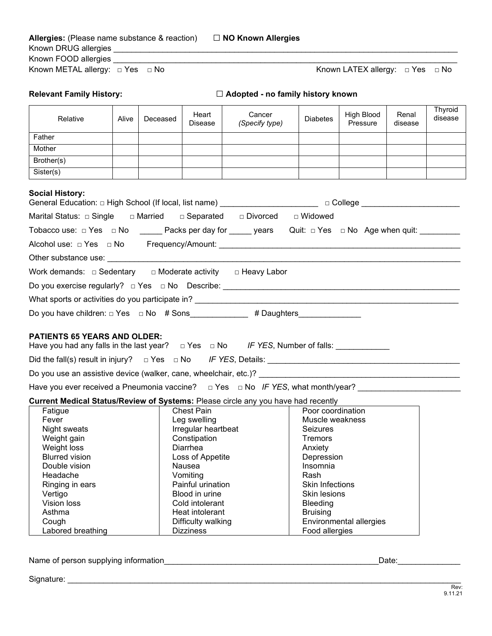| <b>Allergies:</b> (Please name substance & reaction) | $\Box$ NO Known Allergies |                                           |  |
|------------------------------------------------------|---------------------------|-------------------------------------------|--|
| Known DRUG allergies                                 |                           |                                           |  |
| Known FOOD allergies                                 |                           |                                           |  |
| Known METAL allergy: $\Box$ Yes $\Box$ No            |                           | Known LATEX allergy: $\Box$ Yes $\Box$ No |  |

|  | <b>Relevant Family History:</b> |
|--|---------------------------------|
|--|---------------------------------|

**Relevant Family History:** □ **Adopted - no family history known**

| Relative                                                                                                                                        | Alive               | Deceased | Heart<br>Disease   | Cancer<br>(Specify type) | <b>Diabetes</b>        | High Blood<br>Pressure  | Renal<br>disease | Thyroid<br>disease |
|-------------------------------------------------------------------------------------------------------------------------------------------------|---------------------|----------|--------------------|--------------------------|------------------------|-------------------------|------------------|--------------------|
| Father                                                                                                                                          |                     |          |                    |                          |                        |                         |                  |                    |
| Mother                                                                                                                                          |                     |          |                    |                          |                        |                         |                  |                    |
| Brother(s)                                                                                                                                      |                     |          |                    |                          |                        |                         |                  |                    |
| Sister(s)                                                                                                                                       |                     |          |                    |                          |                        |                         |                  |                    |
| <b>Social History:</b><br>General Education: □ High School (If local, list name) _______________________________ □ College ____________________ |                     |          |                    |                          |                        |                         |                  |                    |
| Marital Status: □ Single □ Married □ Separated □ Divorced                                                                                       |                     |          |                    |                          | □ Widowed              |                         |                  |                    |
| Tobacco use: □ Yes □ No _______ Packs per day for ______ years Quit: □ Yes □ No Age when quit: _________                                        |                     |          |                    |                          |                        |                         |                  |                    |
|                                                                                                                                                 |                     |          |                    |                          |                        |                         |                  |                    |
|                                                                                                                                                 |                     |          |                    |                          |                        |                         |                  |                    |
| Work demands: $\Box$ Sedentary $\Box$ Moderate activity $\Box$ Heavy Labor                                                                      |                     |          |                    |                          |                        |                         |                  |                    |
|                                                                                                                                                 |                     |          |                    |                          |                        |                         |                  |                    |
|                                                                                                                                                 |                     |          |                    |                          |                        |                         |                  |                    |
| Do you have children: □ Yes □ No # Sons___________ # Daughters_________________                                                                 |                     |          |                    |                          |                        |                         |                  |                    |
| <b>PATIENTS 65 YEARS AND OLDER:</b><br>Have you had any falls in the last year? $\Box$ Yes $\Box$ No IF YES, Number of falls: _________________ |                     |          |                    |                          |                        |                         |                  |                    |
|                                                                                                                                                 |                     |          |                    |                          |                        |                         |                  |                    |
| Do you use an assistive device (walker, cane, wheelchair, etc.)? __________________________________                                             |                     |          |                    |                          |                        |                         |                  |                    |
|                                                                                                                                                 |                     |          |                    |                          |                        |                         |                  |                    |
| Current Medical Status/Review of Systems: Please circle any you have had recently                                                               |                     |          |                    |                          |                        |                         |                  |                    |
| Fatigue                                                                                                                                         |                     |          | <b>Chest Pain</b>  |                          | Poor coordination      |                         |                  |                    |
| Fever                                                                                                                                           |                     |          | Leg swelling       |                          | Muscle weakness        |                         |                  |                    |
| Night sweats                                                                                                                                    | Irregular heartbeat |          | <b>Seizures</b>    |                          |                        |                         |                  |                    |
| Weight gain                                                                                                                                     |                     |          | Constipation       |                          | Tremors                |                         |                  |                    |
| Weight loss                                                                                                                                     |                     |          | Diarrhea           |                          | Anxiety                |                         |                  |                    |
| <b>Blurred vision</b>                                                                                                                           |                     |          | Loss of Appetite   |                          | Depression             |                         |                  |                    |
| Double vision                                                                                                                                   |                     |          | Nausea             |                          | Insomnia               |                         |                  |                    |
| Headache                                                                                                                                        |                     |          | Vomiting           |                          | Rash                   |                         |                  |                    |
| Ringing in ears                                                                                                                                 |                     |          | Painful urination  |                          | <b>Skin Infections</b> |                         |                  |                    |
| Vertigo                                                                                                                                         |                     |          | Blood in urine     |                          | Skin lesions           |                         |                  |                    |
| Vision loss                                                                                                                                     |                     |          | Cold intolerant    |                          | Bleeding               |                         |                  |                    |
| Asthma                                                                                                                                          | Heat intolerant     |          |                    | <b>Bruising</b>          |                        |                         |                  |                    |
| Cough                                                                                                                                           |                     |          | Difficulty walking |                          |                        | Environmental allergies |                  |                    |
| Labored breathing                                                                                                                               |                     |          | <b>Dizziness</b>   |                          | Food allergies         |                         |                  |                    |

Name of person supplying information\_\_\_\_\_\_\_\_\_\_\_\_\_\_\_\_\_\_\_\_\_\_\_\_\_\_\_\_\_\_\_\_\_\_\_\_\_\_\_\_\_\_\_\_\_\_\_\_Date:\_\_\_\_\_\_\_\_\_\_\_\_\_\_

Signature: \_\_\_\_\_\_\_\_\_\_\_\_\_\_\_\_\_\_\_\_\_\_\_\_\_\_\_\_\_\_\_\_\_\_\_\_\_\_\_\_\_\_\_\_\_\_\_\_\_\_\_\_\_\_\_\_\_\_\_\_\_\_\_\_\_\_\_\_\_\_\_\_\_\_\_\_\_\_\_\_\_\_\_\_\_\_\_\_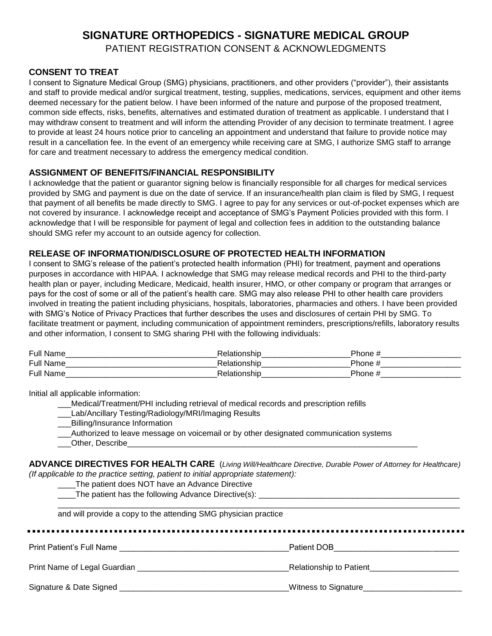# **SIGNATURE ORTHOPEDICS - SIGNATURE MEDICAL GROUP**

PATIENT REGISTRATION CONSENT & ACKNOWLEDGMENTS

#### **CONSENT TO TREAT**

I consent to Signature Medical Group (SMG) physicians, practitioners, and other providers ("provider"), their assistants and staff to provide medical and/or surgical treatment, testing, supplies, medications, services, equipment and other items deemed necessary for the patient below. I have been informed of the nature and purpose of the proposed treatment, common side effects, risks, benefits, alternatives and estimated duration of treatment as applicable. I understand that I may withdraw consent to treatment and will inform the attending Provider of any decision to terminate treatment. I agree to provide at least 24 hours notice prior to canceling an appointment and understand that failure to provide notice may result in a cancellation fee. In the event of an emergency while receiving care at SMG, I authorize SMG staff to arrange for care and treatment necessary to address the emergency medical condition.

#### **ASSIGNMENT OF BENEFITS/FINANCIAL RESPONSIBILITY**

I acknowledge that the patient or guarantor signing below is financially responsible for all charges for medical services provided by SMG and payment is due on the date of service. If an insurance/health plan claim is filed by SMG, I request that payment of all benefits be made directly to SMG. I agree to pay for any services or out-of-pocket expenses which are not covered by insurance. I acknowledge receipt and acceptance of SMG's Payment Policies provided with this form. I acknowledge that I will be responsible for payment of legal and collection fees in addition to the outstanding balance should SMG refer my account to an outside agency for collection.

#### **RELEASE OF INFORMATION/DISCLOSURE OF PROTECTED HEALTH INFORMATION**

I consent to SMG's release of the patient's protected health information (PHI) for treatment, payment and operations purposes in accordance with HIPAA. I acknowledge that SMG may release medical records and PHI to the third-party health plan or payer, including Medicare, Medicaid, health insurer, HMO, or other company or program that arranges or pays for the cost of some or all of the patient's health care. SMG may also release PHI to other health care providers involved in treating the patient including physicians, hospitals, laboratories, pharmacies and others. I have been provided with SMG's Notice of Privacy Practices that further describes the uses and disclosures of certain PHI by SMG. To facilitate treatment or payment, including communication of appointment reminders, prescriptions/refills, laboratory results and other information, I consent to SMG sharing PHI with the following individuals:

| Full<br>−Na∟ |        | Phone       |  |
|--------------|--------|-------------|--|
| Full Name    | . III. | Phone       |  |
| Full         |        | - הר<br>one |  |

Initial all applicable information:

\_\_\_Medical/Treatment/PHI including retrieval of medical records and prescription refills

- Lab/Ancillary Testing/Radiology/MRI/Imaging Results
- \_\_\_Billing/Insurance Information
- \_\_\_Authorized to leave message on voicemail or by other designated communication systems
- \_\_\_Other, Describe\_\_\_\_\_\_\_\_\_\_\_\_\_\_\_\_\_\_\_\_\_\_\_\_\_\_\_\_\_\_\_\_\_\_\_\_\_\_\_\_\_\_\_\_\_\_\_\_\_\_\_\_\_\_\_\_\_\_\_\_\_\_\_\_\_

**ADVANCE DIRECTIVES FOR HEALTH CARE** (*Living Will/Healthcare Directive, Durable Power of Attorney for Healthcare) (If applicable to the practice setting, patient to initial appropriate statement):*

\_\_\_\_\_\_\_\_\_\_\_\_\_\_\_\_\_\_\_\_\_\_\_\_\_\_\_\_\_\_\_\_\_\_\_\_\_\_\_\_\_\_\_\_\_\_\_\_\_\_\_\_\_\_\_\_\_\_\_\_\_\_\_\_\_\_\_\_\_\_\_\_\_\_\_\_\_\_\_\_\_\_\_\_\_\_\_\_\_\_

\_\_\_\_The patient does NOT have an Advance Directive

\_\_\_\_The patient has the following Advance Directive(s): \_\_\_\_\_\_\_\_\_\_\_\_\_\_\_\_\_\_\_\_\_\_\_\_\_\_\_\_\_\_\_\_\_\_\_\_\_\_\_\_\_\_\_\_\_

and will provide a copy to the attending SMG physician practice

| Print Patient's Full Name    | Patient DOB                    |
|------------------------------|--------------------------------|
| Print Name of Legal Guardian | <b>Relationship to Patient</b> |
| Signature & Date Signed      | Witness to Signature           |